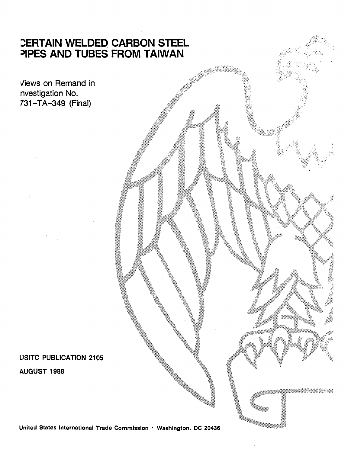# **:ERTAIN WELDED CARBON STEEL =>IPES AND TUBES FROM TAIWAN**

Views on Remand in nvestigation No. 731-TA-349 (Final)

USITC PUBLICATION 2105 AUGUST 1988

United States International Trade Commission • Washington, DC 20436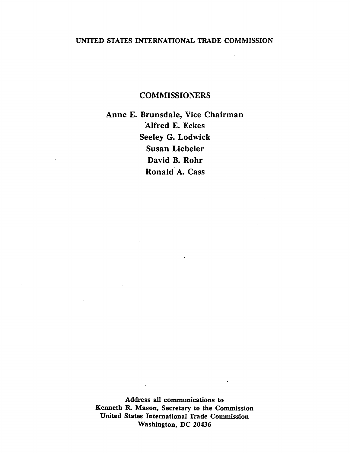### UNITED STATES INTERNATIONAL TRADE COMMISSION

## **COMMISSIONERS**

Anne E. Brunsdale, Vice Chairman Alfred E. Eckes Seeley G. Lodwick Susan Liebeler David B. Rohr Ronald A. Cass

Address all communications to Kenneth R. Mason, Secretary to the Commission United States International Trade Commission Washington, DC 20436

 $\ddot{\phantom{a}}$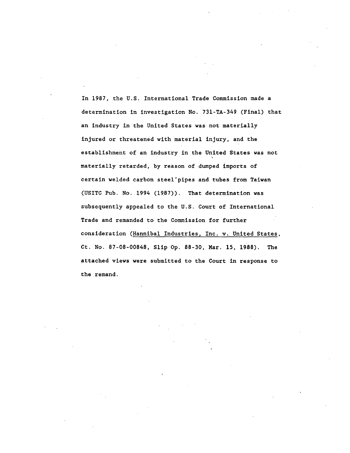In 1987, the U.S. International Trade Commission made a determination in investigation No. 731-TA-349 (Final) that an industry in the United States was not materially injured or threatened with material injury, and the establishment of an industry in the United States was not materially retarded, by reason of dumped imports of certain welded carbon steel'pipes and tubes from Taiwan (USITC Pub. No. 1994 (1987)). That determination was subsequently appealed to the U.S. Court of International Trade and remanded to the Commission for further consideration (Hannibal Industries, Inc. v. United States, Ct. No. 87-08-00848, Slip Op. 88-30, Mar. 15, 1988). The attached views were submitted to the Court in response to the remand.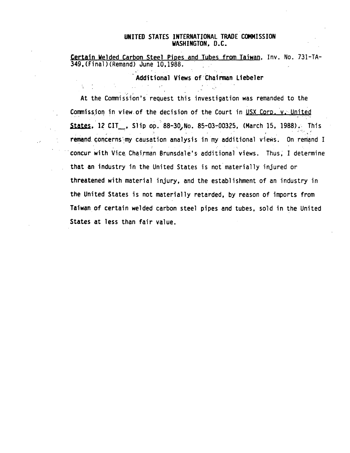#### UNITED STATES INTERNATIONAL TRADE COMMISSION WASHINGTON, D.C.

Certain Welded Carbon Steel Pipes and Tubes from Taiwan, Inv. No. 731-TA-349, (Final) (Remand) June 10, 1988.

 $\mathbb{Z}^+$ 

Additional Views of Chairman Liebeler

At the Commission's request this investigation was remanded to the Commission in view of the decision of the Court in USX Corp. v. United States, 12 CIT\_, Slip op. 88-30, No. 85-03-00325, (March 15, 1988). This remand concerns my causation analysis in my additional views. On remand I concur with Vice Chairman Brunsdale's additional views. Thus, I determine that an industry in the United States is not materially injured or threatened with material injury, and the establishment of an industry in the United States is not materially retarded, by reason of imports from Taiwan of certain welded carbon steel pipes and tubes, sold in the United States at less than fair value.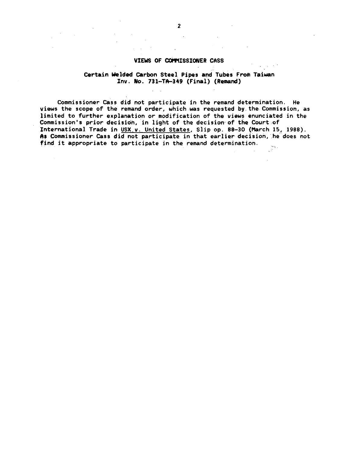### VIEWS OF COMMISSIONER CASS

#### Certain Welded Carbon Steel Pipes and Tubes From Taiwan Inv. No. 731-TA-349 (Final) (Remand)

Commissioner Cass did not participate in the remand determination. He views the scope of the remand order, which was requested by. the. Commission, as limited to further explanation or modification of the views enunciated in the Commission's prior decision, in light of the decision· of the Court of International Trade in USX v. United States, Slip op. 88-30 (March 15, 1988). As Commissioner Cass did not participate in that earlier decision, he does not find it appropriate to participate in the remand determination.

 $\Delta \sim$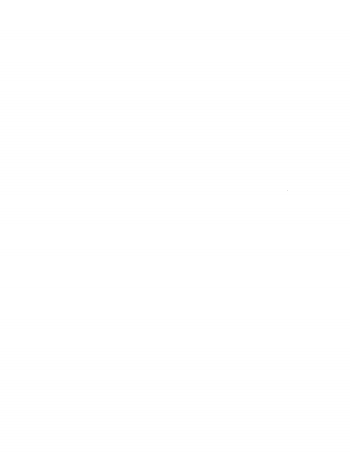$\label{eq:2.1} \mathcal{L}(\mathcal{L}^{\text{max}}_{\mathcal{L}}(\mathcal{L}^{\text{max}}_{\mathcal{L}})) \leq \mathcal{L}(\mathcal{L}^{\text{max}}_{\mathcal{L}}(\mathcal{L}^{\text{max}}_{\mathcal{L}}))$